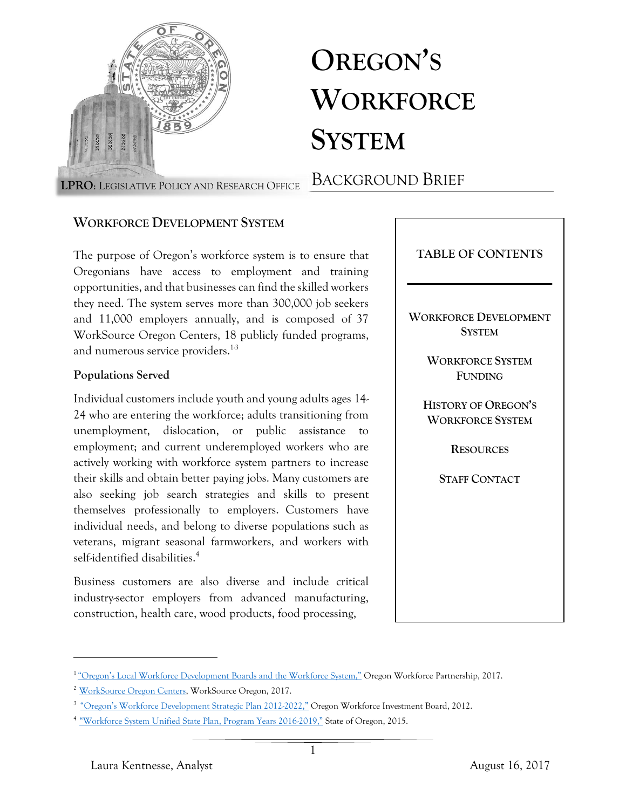

# **OREGON'S WORKFORCE SYSTEM**

BACKGROUND BRIEF **LPRO**: LEGISLATIVE POLICY AND RESEARCH OFFICE

## **WORKFORCE DEVELOPMENT SYSTEM**

The purpose of Oregon's workforce system is to ensure that Oregonians have access to employment and training opportunities, and that businesses can find the skilled workers they need. The system serves more than 300,000 job seekers and 11,000 employers annually, and is composed of 37 WorkSource Oregon Centers, 18 publicly funded programs, and numerous service providers.<sup>1-3</sup>

### **Populations Served**

Individual customers include youth and young adults ages 14- 24 who are entering the workforce; adults transitioning from unemployment, dislocation, or public assistance to employment; and current underemployed workers who are actively working with workforce system partners to increase their skills and obtain better paying jobs. Many customers are also seeking job search strategies and skills to present themselves professionally to employers. Customers have individual needs, and belong to diverse populations such as veterans, migrant seasonal farmworkers, and workers with self-identified disabilities. 4

Business customers are also diverse and include critical industry-sector employers from advanced manufacturing, construction, health care, wood products, food processing,



<sup>&</sup>lt;sup>1</sup> ["Oregon's Local Workforce Development Boards and the Workforce System,"](https://olis.leg.state.or.us/liz/2017R1/Downloads/CommitteeMeetingDocument/98722) Oregon Workforce Partnership, 2017.

<sup>&</sup>lt;sup>2</sup> [WorkSource Oregon Centers,](http://worksourceoregon.org/home/worksourcecenters) WorkSource Oregon, 2017.

<sup>&</sup>lt;sup>3</sup> ["Oregon's Workforce Development Strategic Plan 2012](http://www.oregon.gov/ccwd/pdf/StrategicPlan12-22.pdf)-2022," Oregon Workforce Investment Board, 2012.

<sup>4</sup>["Workforce System Unified State Plan, Program Years 2016](http://www.oregon.gov/owib/Documents/Oregon%20WIOA%20State%20Plan%20-%2012%2023%2015%20-%20Final%20Draft.pdf)-2019," State of Oregon, 2015.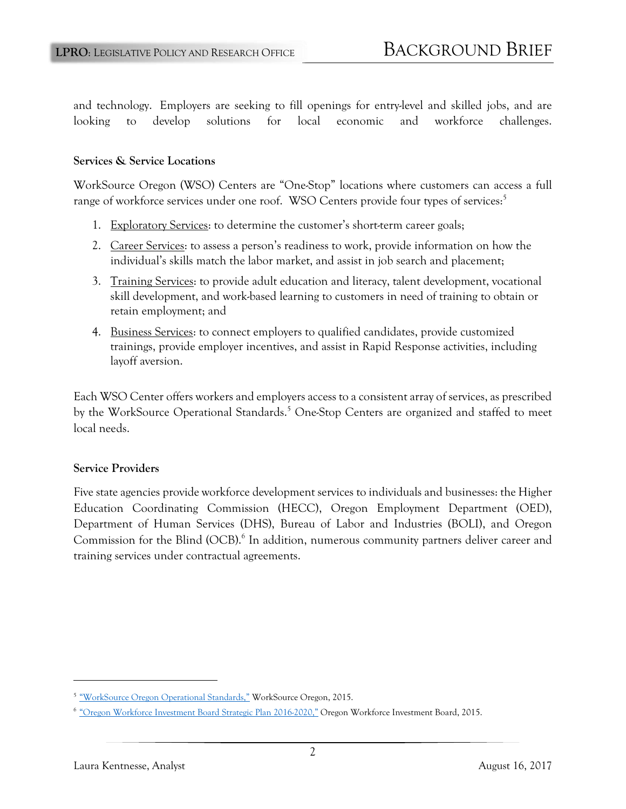and technology. Employers are seeking to fill openings for entry-level and skilled jobs, and are looking to develop solutions for local economic and workforce challenges.

#### **Services & Service Locations**

WorkSource Oregon (WSO) Centers are "One-Stop" locations where customers can access a full range of workforce services under one roof. WSO Centers provide four types of services:<sup>5</sup>

- 1. Exploratory Services: to determine the customer's short-term career goals;
- 2. Career Services: to assess a person's readiness to work, provide information on how the individual's skills match the labor market, and assist in job search and placement;
- 3. Training Services: to provide adult education and literacy, talent development, vocational skill development, and work-based learning to customers in need of training to obtain or retain employment; and
- 4. Business Services: to connect employers to qualified candidates, provide customized trainings, provide employer incentives, and assist in Rapid Response activities, including layoff aversion.

Each WSO Center offers workers and employers access to a consistent array of services, as prescribed by the WorkSource Operational Standards.<sup>5</sup> One-Stop Centers are organized and staffed to meet local needs.

#### **Service Providers**

Five state agencies provide workforce development services to individuals and businesses: the Higher Education Coordinating Commission (HECC), Oregon Employment Department (OED), Department of Human Services (DHS), Bureau of Labor and Industries (BOLI), and Oregon Commission for the Blind (OCB).<sup>6</sup> In addition, numerous community partners deliver career and training services under contractual agreements.

<sup>&</sup>lt;sup>5</sup> ["WorkSource Oregon Operational Standards,"](http://wsostandards.weebly.com/uploads/5/8/7/9/58796091/wso_operational_standards_document_final_5-22-15.pdf) WorkSource Oregon, 2015.

<sup>&</sup>lt;sup>6</sup> ["Oregon Workforce Investment Board Strategic Plan 2016](http://www.oregon.gov/owib/aboutowib/Documents/OWIB_Strategic_Plan-Approved_9.18.15.pdf)-2020," Oregon Workforce Investment Board, 2015.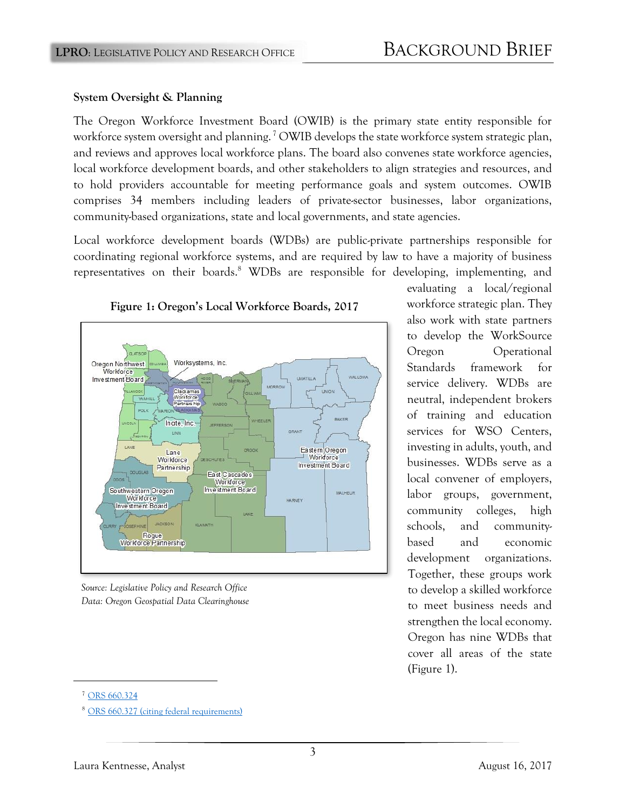#### **System Oversight & Planning**

The Oregon Workforce Investment Board (OWIB) is the primary state entity responsible for workforce system oversight and planning.<sup>7</sup> OWIB develops the state workforce system strategic plan, and reviews and approves local workforce plans. The board also convenes state workforce agencies, local workforce development boards, and other stakeholders to align strategies and resources, and to hold providers accountable for meeting performance goals and system outcomes. OWIB comprises 34 members including leaders of private-sector businesses, labor organizations, community-based organizations, state and local governments, and state agencies.

Local workforce development boards (WDBs) are public-private partnerships responsible for coordinating regional workforce systems, and are required by law to have a majority of business representatives on their boards.<sup>8</sup> WDBs are responsible for developing, implementing, and



**Figure 1: Oregon's Local Workforce Boards, 2017**

*Source: Legislative Policy and Research Office Data: Oregon Geospatial Data Clearinghouse*

evaluating a local/regional workforce strategic plan. They also work with state partners to develop the WorkSource Oregon Operational Standards framework for service delivery. WDBs are neutral, independent brokers of training and education services for WSO Centers, investing in adults, youth, and businesses. WDBs serve as a local convener of employers, labor groups, government, community colleges, high schools, and communitybased and economic development organizations. Together, these groups work to develop a skilled workforce to meet business needs and strengthen the local economy. Oregon has nine WDBs that cover all areas of the state (Figure 1).

<sup>&</sup>lt;sup>7</sup> [ORS 660.324](https://www.oregonlaws.org/ors/660.324)

<sup>8</sup> [ORS 660.327 \(citing federal requirements\)](https://www.oregonlaws.org/ors/660.327)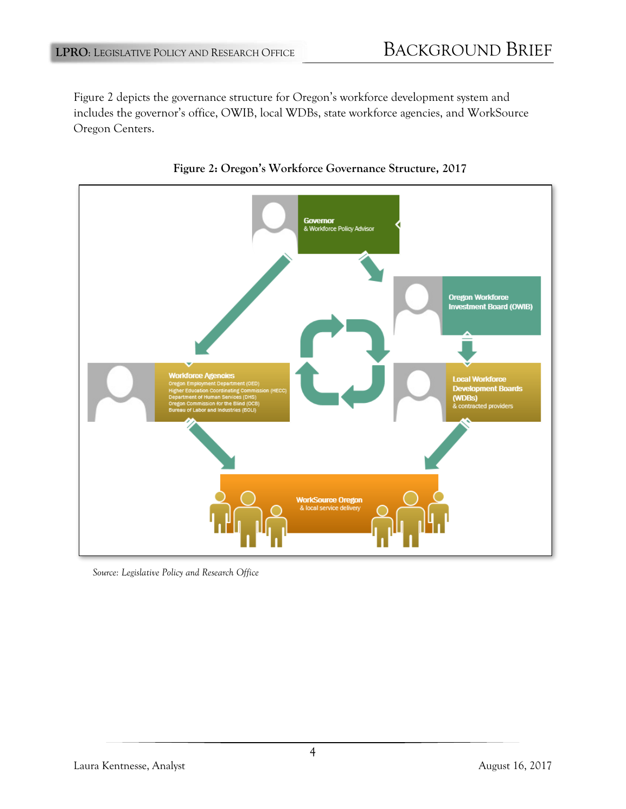Figure 2 depicts the governance structure for Oregon's workforce development system and includes the governor's office, OWIB, local WDBs, state workforce agencies, and WorkSource Oregon Centers.





*Source: Legislative Policy and Research Office*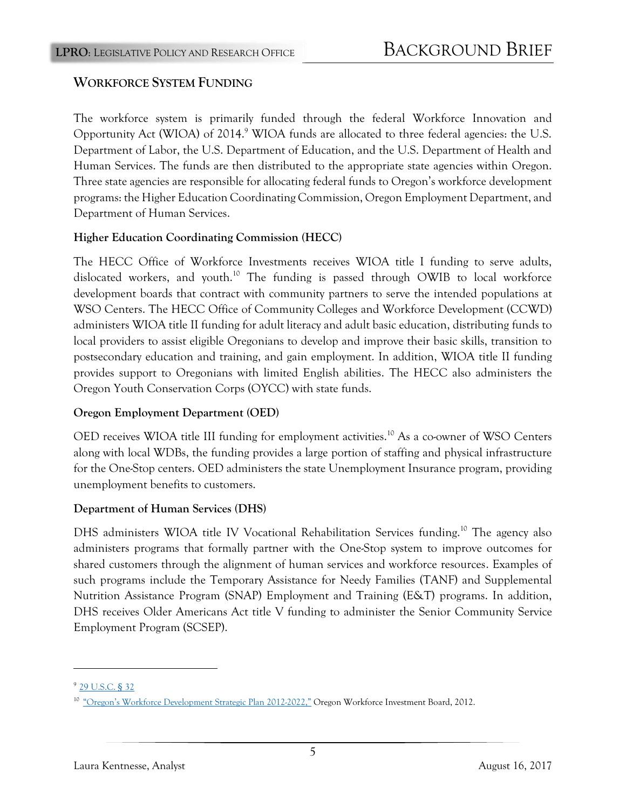# **WORKFORCE SYSTEM FUNDING**

The workforce system is primarily funded through the federal Workforce Innovation and Opportunity Act (WIOA) of 2014.<sup>9</sup> WIOA funds are allocated to three federal agencies: the U.S. Department of Labor, the U.S. Department of Education, and the U.S. Department of Health and Human Services. The funds are then distributed to the appropriate state agencies within Oregon. Three state agencies are responsible for allocating federal funds to Oregon's workforce development programs: the Higher Education Coordinating Commission, Oregon Employment Department, and Department of Human Services.

## **Higher Education Coordinating Commission (HECC)**

The HECC Office of Workforce Investments receives WIOA title I funding to serve adults, dislocated workers, and youth.<sup>10</sup> The funding is passed through OWIB to local workforce development boards that contract with community partners to serve the intended populations at WSO Centers. The HECC Office of Community Colleges and Workforce Development (CCWD) administers WIOA title II funding for adult literacy and adult basic education, distributing funds to local providers to assist eligible Oregonians to develop and improve their basic skills, transition to postsecondary education and training, and gain employment. In addition, WIOA title II funding provides support to Oregonians with limited English abilities. The HECC also administers the Oregon Youth Conservation Corps (OYCC) with state funds.

## **Oregon Employment Department (OED)**

OED receives WIOA title III funding for employment activities.<sup>10</sup> As a co-owner of WSO Centers along with local WDBs, the funding provides a large portion of staffing and physical infrastructure for the One-Stop centers. OED administers the state Unemployment Insurance program, providing unemployment benefits to customers.

## **Department of Human Services (DHS)**

DHS administers WIOA title IV Vocational Rehabilitation Services funding.<sup>10</sup> The agency also administers programs that formally partner with the One-Stop system to improve outcomes for shared customers through the alignment of human services and workforce resources. Examples of such programs include the Temporary Assistance for Needy Families (TANF) and Supplemental Nutrition Assistance Program (SNAP) Employment and Training (E&T) programs. In addition, DHS receives Older Americans Act title V funding to administer the Senior Community Service Employment Program (SCSEP).

<sup>9</sup>[29 U.S.C.](https://www.gpo.gov/fdsys/pkg/USCODE-2015-title29/pdf/USCODE-2015-title29-chap32.pdf) § 32

<sup>10</sup> ["Oregon's Workforce Development](http://www.oregon.gov/ccwd/pdf/StrategicPlan12-22.pdf) Strategic Plan 2012-2022," Oregon Workforce Investment Board, 2012.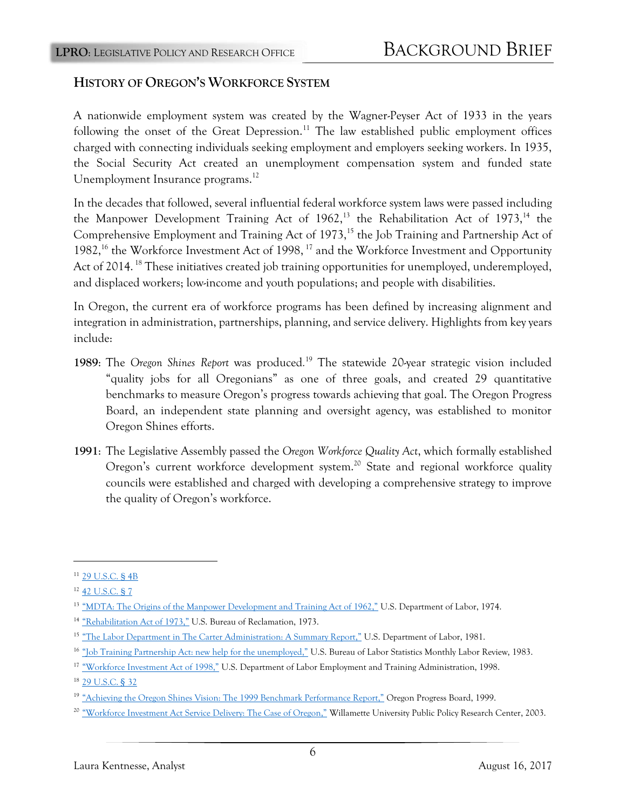## **HISTORY OF OREGON'S WORKFORCE SYSTEM**

A nationwide employment system was created by the Wagner-Peyser Act of 1933 in the years following the onset of the Great Depression.<sup>11</sup> The law established public employment offices charged with connecting individuals seeking employment and employers seeking workers. In 1935, the Social Security Act created an unemployment compensation system and funded state Unemployment Insurance programs.<sup>12</sup>

In the decades that followed, several influential federal workforce system laws were passed including the Manpower Development Training Act of  $1962$ ,<sup>13</sup> the Rehabilitation Act of  $1973$ ,<sup>14</sup> the Comprehensive Employment and Training Act of 1973,<sup>15</sup> the Job Training and Partnership Act of 1982,<sup>16</sup> the Workforce Investment Act of 1998, <sup>17</sup> and the Workforce Investment and Opportunity Act of 2014.<sup>18</sup> These initiatives created job training opportunities for unemployed, underemployed, and displaced workers; low-income and youth populations; and people with disabilities.

In Oregon, the current era of workforce programs has been defined by increasing alignment and integration in administration, partnerships, planning, and service delivery. Highlights from key years include:

- 1989: The Oregon Shines Report was produced.<sup>19</sup> The statewide 20-year strategic vision included "quality jobs for all Oregonians" as one of three goals, and created 29 quantitative benchmarks to measure Oregon's progress towards achieving that goal. The Oregon Progress Board, an independent state planning and oversight agency, was established to monitor Oregon Shines efforts.
- **1991**: The Legislative Assembly passed the *Oregon Workforce Quality Act*, which formally established Oregon's current workforce development system.<sup>20</sup> State and regional workforce quality councils were established and charged with developing a comprehensive strategy to improve the quality of Oregon's workforce.

<sup>11</sup>[29 U.S.C. § 4B](https://www.gpo.gov/fdsys/pkg/USCODE-2015-title29/pdf/USCODE-2015-title29-chap4B.pdf)

<sup>&</sup>lt;sup>12</sup> [42 U.S.C. § 7](https://www.gpo.gov/fdsys/pkg/USCODE-2015-title42/pdf/USCODE-2015-title42-chap7.pdf)

<sup>&</sup>lt;sup>13</sup> "MDTA: The Origins of th<u>e Manpower Development and Training Act of 1962,"</u> U.S. Department of Labor, 1974.

<sup>&</sup>lt;sup>14</sup> ["Rehabilitation Act of 1973,"](https://www.usbr.gov/cro/pdfsplus/rehabact.pdf) U.S. Bureau of Reclamation, 1973.

<sup>&</sup>lt;sup>15</sup> ["The Labor Department in The Carter Administration: A Summary Report,"](https://www.dol.gov/oasam/programs/history/carter-eta.htm) U.S. Department of Labor, 1981.

<sup>&</sup>lt;sup>16</sup> ["Job Training Partnership Act: new help for the unemployed,"](https://www.bls.gov/opub/mlr/1983/03/art1full.pdf) U.S. Bureau of Labor Statistics Monthly Labor Review, 1983.

<sup>&</sup>lt;sup>17</sup> ["Workforce Investment Act of 1998,"](https://www.doleta.gov/regs/statutes/wialaw.txt) U.S. Department of Labor Employment and Training Administration, 1998.

<sup>18</sup> [29 U.S.C.](https://www.gpo.gov/fdsys/pkg/USCODE-2015-title29/pdf/USCODE-2015-title29-chap32.pdf) § 32

<sup>&</sup>lt;sup>19</sup> ["Achieving the Oregon Shines Vision: The 1999 Benchmark Performance Report,"](http://library.state.or.us/repository/2009/200904081053013/DAS_OPB_docs_99report_fullrep.pdf) Oregon Progress Board, 1999.

<sup>&</sup>lt;sup>20</sup> ["Workforce Investment Act Service Delivery: The Case of Oregon,"](https://willamette.edu/centers/publicpolicy/pdf/wiasd.pdf) Willamette University Public Policy Research Center, 2003.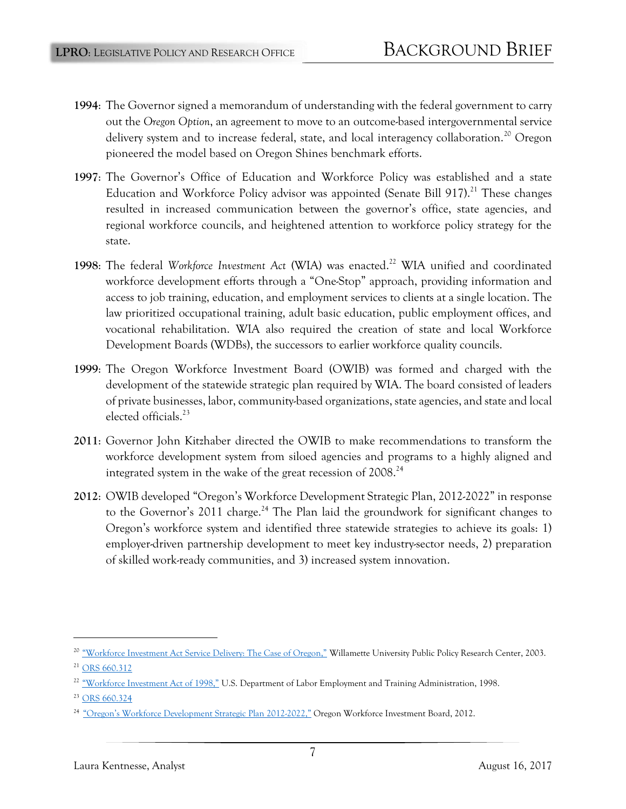- **1994**: The Governor signed a memorandum of understanding with the federal government to carry out the *Oregon Option*, an agreement to move to an outcome-based intergovernmental service delivery system and to increase federal, state, and local interagency collaboration.<sup>20</sup> Oregon pioneered the model based on Oregon Shines benchmark efforts.
- **1997**: The Governor's Office of Education and Workforce Policy was established and a state Education and Workforce Policy advisor was appointed (Senate Bill 917).<sup>21</sup> These changes resulted in increased communication between the governor's office, state agencies, and regional workforce councils, and heightened attention to workforce policy strategy for the state.
- **1998**: The federal *Workforce Investment Act* **(**WIA**)** was enacted.<sup>22</sup> WIA unified and coordinated workforce development efforts through a "One-Stop" approach, providing information and access to job training, education, and employment services to clients at a single location. The law prioritized occupational training, adult basic education, public employment offices, and vocational rehabilitation. WIA also required the creation of state and local Workforce Development Boards (WDBs), the successors to earlier workforce quality councils.
- **1999**: The Oregon Workforce Investment Board (OWIB) was formed and charged with the development of the statewide strategic plan required by WIA. The board consisted of leaders of private businesses, labor, community-based organizations, state agencies, and state and local elected officials.<sup>23</sup>
- **2011**: Governor John Kitzhaber directed the OWIB to make recommendations to transform the workforce development system from siloed agencies and programs to a highly aligned and integrated system in the wake of the great recession of 2008.<sup>24</sup>
- **2012**: OWIB developed "Oregon's Workforce Development Strategic Plan, 2012-2022" in response to the Governor's 2011 charge.<sup>24</sup> The Plan laid the groundwork for significant changes to Oregon's workforce system and identified three statewide strategies to achieve its goals: 1) employer-driven partnership development to meet key industry-sector needs, 2) preparation of skilled work-ready communities, and 3) increased system innovation.

<sup>&</sup>lt;sup>20</sup> ["Workforce Investment Act Service Delivery: The Case of Oregon,"](https://willamette.edu/centers/publicpolicy/pdf/wiasd.pdf) Willamette University Public Policy Research Center, 2003.

<sup>&</sup>lt;sup>21</sup> [ORS 660.312](https://www.oregonlaws.org/ors/660.312)

 $^{22}$  ["Workforce Investment Act of 1998,"](https://www.doleta.gov/regs/statutes/wialaw.txt) U.S. Department of Labor Employment and Training Administration, 1998.

<sup>&</sup>lt;sup>23</sup> [ORS 660.324](https://www.oregonlaws.org/ors/660.324)

<sup>&</sup>lt;sup>24</sup> ["Oregon's Workforce Development Strategic Plan 2012](http://www.oregon.gov/ccwd/pdf/StrategicPlan12-22.pdf)-2022," Oregon Workforce Investment Board, 2012.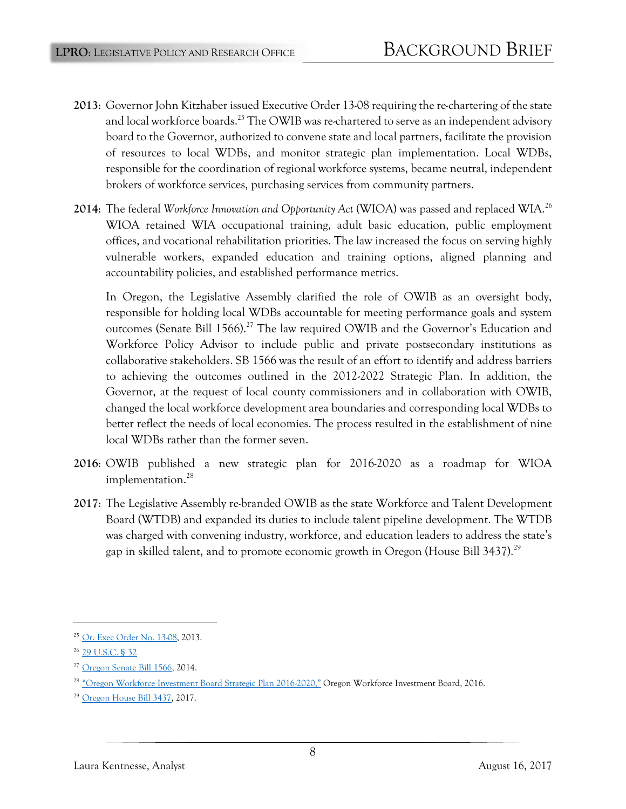- **2013**: Governor John Kitzhaber issued Executive Order 13-08 requiring the re-chartering of the state and local workforce boards.<sup>25</sup> The OWIB was re-chartered to serve as an independent advisory board to the Governor, authorized to convene state and local partners, facilitate the provision of resources to local WDBs, and monitor strategic plan implementation. Local WDBs, responsible for the coordination of regional workforce systems, became neutral, independent brokers of workforce services, purchasing services from community partners.
- **2014**: The federal *Workforce Innovation and Opportunity Act* (WIOA) was passed and replaced WIA.<sup>26</sup> WIOA retained WIA occupational training, adult basic education, public employment offices, and vocational rehabilitation priorities. The law increased the focus on serving highly vulnerable workers, expanded education and training options, aligned planning and accountability policies, and established performance metrics.

In Oregon, the Legislative Assembly clarified the role of OWIB as an oversight body, responsible for holding local WDBs accountable for meeting performance goals and system outcomes (Senate Bill 1566).<sup>27</sup> The law required OWIB and the Governor's Education and Workforce Policy Advisor to include public and private postsecondary institutions as collaborative stakeholders. SB 1566 was the result of an effort to identify and address barriers to achieving the outcomes outlined in the 2012-2022 Strategic Plan. In addition, the Governor, at the request of local county commissioners and in collaboration with OWIB, changed the local workforce development area boundaries and corresponding local WDBs to better reflect the needs of local economies. The process resulted in the establishment of nine local WDBs rather than the former seven.

- **2016**: OWIB published a new strategic plan for 2016-2020 as a roadmap for WIOA implementation.<sup>28</sup>
- **2017**: The Legislative Assembly re-branded OWIB as the state Workforce and Talent Development Board (WTDB) and expanded its duties to include talent pipeline development. The WTDB was charged with convening industry, workforce, and education leaders to address the state's gap in skilled talent, and to promote economic growth in Oregon (House Bill 3437).<sup>29</sup>

<sup>&</sup>lt;sup>25</sup> [Or. Exec Order No. 13-08,](http://www.oregon.gov/gov/Documents/executive_orders/eo_13-08.pdf) 2013.

<sup>26</sup> [29 U.S.C.](https://www.gpo.gov/fdsys/pkg/USCODE-2015-title29/pdf/USCODE-2015-title29-chap32.pdf) § 32

<sup>&</sup>lt;sup>27</sup> [Oregon Senate Bill 1566,](https://olis.leg.state.or.us/liz/2014R1/Downloads/MeasureDocument/SB1566/Enrolled) 2014.

<sup>28</sup>["Oregon Workforce Investment Board Strategic Plan 2016](http://www.oregon.gov/owib/aboutowib/Documents/OWIB_Strategic_Plan-Approved_9.18.15.pdf)-2020," Oregon Workforce Investment Board, 2016.

<sup>29</sup> [Oregon House Bill 3437,](https://olis.leg.state.or.us/liz/2017R1/Downloads/MeasureDocument/HB3437/Enrolled) 2017.